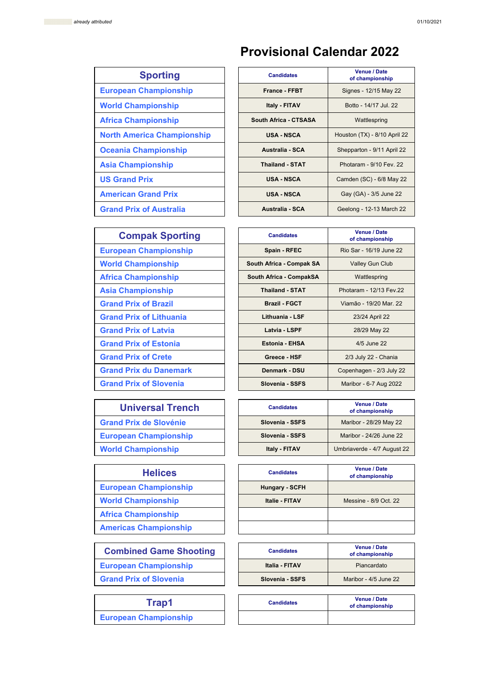## **Provisional Calendar 2022**

## **Sporting**

- **European Championship**
- **World Championship**
- **Africa Championship**
- **North America Championship**
- **Oceania Championship**
- **Asia Championship**
- **US Grand Prix**

- **American Grand Prix**
- **Grand Prix of Australia**

| <b>Candidates</b>      | <b>Venue / Date</b><br>of championship |  |
|------------------------|----------------------------------------|--|
| <b>France - FFBT</b>   | Signes - 12/15 May 22                  |  |
| <b>Italy - FITAV</b>   | Botto - 14/17 Jul. 22                  |  |
| South Africa - CTSASA  | Wattlespring                           |  |
| USA - NSCA             | Houston (TX) - 8/10 April 22           |  |
| Australia - SCA        | Shepparton - 9/11 April 22             |  |
| <b>Thailand - STAT</b> | Photaram - 9/10 Fev. 22                |  |
| <b>USA - NSCA</b>      | Camden (SC) - 6/8 May 22               |  |
| <b>USA - NSCA</b>      | Gay (GA) - 3/5 June 22                 |  |
| Australia - SCA        | Geelong - 12-13 March 22               |  |

| <b>Compak Sporting</b>         | <b>Candidates</b>        | <b>Venue / Date</b><br>of championship |  |
|--------------------------------|--------------------------|----------------------------------------|--|
| <b>European Championship</b>   | Spain - RFEC             | Rio Sar - 16/19 June 22                |  |
| <b>World Championship</b>      | South Africa - Compak SA | <b>Valley Gun Club</b>                 |  |
| <b>Africa Championship</b>     | South Africa - CompakSA  | Wattlespring                           |  |
| <b>Asia Championship</b>       | <b>Thailand - STAT</b>   | Photaram - 12/13 Fev.22                |  |
| <b>Grand Prix of Brazil</b>    | <b>Brazil - FGCT</b>     | Viamão - 19/20 Mar. 22                 |  |
| <b>Grand Prix of Lithuania</b> | Lithuania - LSF          | 23/24 April 22                         |  |
| <b>Grand Prix of Latvia</b>    | Latvia - LSPF            | 28/29 May 22                           |  |
| <b>Grand Prix of Estonia</b>   | <b>Estonia - EHSA</b>    | 4/5 June 22                            |  |
| <b>Grand Prix of Crete</b>     | Greece - HSF             | 2/3 July 22 - Chania                   |  |
| <b>Grand Prix du Danemark</b>  | <b>Denmark - DSU</b>     | Copenhagen - 2/3 July 22               |  |
| <b>Grand Prix of Slovenia</b>  | Slovenia - SSFS          | Maribor - 6-7 Aug 2022                 |  |

#### **Universal Trench**

**Grand Prix de Slovénie** 

**European Championship** 

**World Championship** 

## **Helices**

- **European Championship**
- **World Championship**
- **Africa Championship**
- **Americas Championship**

## **Combined Game Shooting**

**European Championship** 

**Grand Prix of Slovenia** 

**European Championship**

| <b>Candidates</b> | <b>Venue / Date</b><br>of championship |  |
|-------------------|----------------------------------------|--|
| Slovenia - SSFS   | Maribor - 28/29 May 22                 |  |
| Slovenia - SSFS   | Maribor - 24/26 June 22                |  |
| Italy - FITAV     | Umbriaverde - 4/7 August 22            |  |

| <b>Candidates</b>     | <b>Venue / Date</b><br>of championship |  |
|-----------------------|----------------------------------------|--|
| <b>Hungary - SCFH</b> |                                        |  |
| <b>Italie - FITAV</b> | Messine - 8/9 Oct. 22                  |  |
|                       |                                        |  |
|                       |                                        |  |

| <b>Candidates</b> | <b>Venue / Date</b><br>of championship |  |
|-------------------|----------------------------------------|--|
| Italia - FITAV    | Piancardato                            |  |
| Slovenia - SSFS   | Maribor - 4/5 June 22                  |  |

| Trap1             | <b>Candidates</b> | <b>Venue / Date</b><br>of championship |
|-------------------|-------------------|----------------------------------------|
| <b>ampionship</b> |                   |                                        |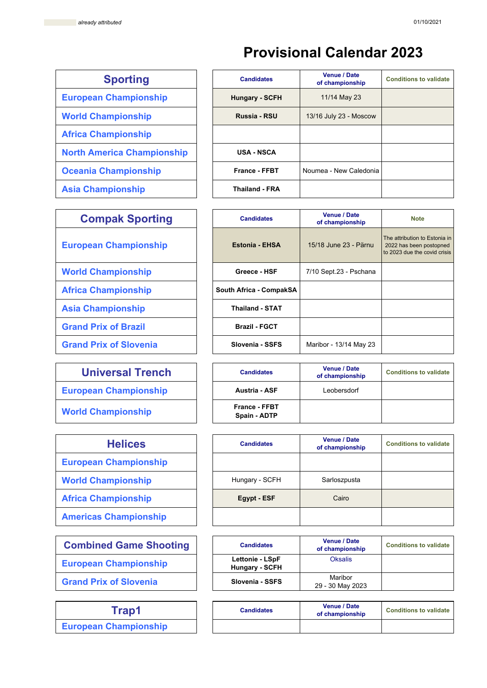# **Provisional Calendar 2023**

| <b>Sporting</b>                   | <b>Candidates</b>    |
|-----------------------------------|----------------------|
| <b>European Championship</b>      | <b>Hungary - SCF</b> |
| <b>World Championship</b>         | Russia - RSL         |
| <b>Africa Championship</b>        |                      |
| <b>North America Championship</b> | <b>USA - NSCA</b>    |
| <b>Oceania Championship</b>       | France - FFB         |
| <b>Asia Championship</b>          | Thailand - FR.       |

| <b>Compak Sporting</b>        | <b>Candidates</b>       |
|-------------------------------|-------------------------|
| <b>European Championship</b>  | <b>Estonia - EHSA</b>   |
| <b>World Championship</b>     | Greece - HSF            |
| <b>Africa Championship</b>    | South Africa - CompakSA |
| <b>Asia Championship</b>      | <b>Thailand - STAT</b>  |
| <b>Grand Prix of Brazil</b>   | <b>Brazil - FGCT</b>    |
| <b>Grand Prix of Slovenia</b> | Slovenia - SSFS         |
|                               |                         |

| <b>Universal Trench</b>      |  |
|------------------------------|--|
| <b>European Championship</b> |  |

| <b>Helices</b>               |
|------------------------------|
| <b>European Championship</b> |
| <b>World Championship</b>    |
| <b>Africa Championship</b>   |
| <b>Americas Championship</b> |

| <b>Combined Game Shooting</b> | <b>Candidates</b>                        |
|-------------------------------|------------------------------------------|
| <b>European Championship</b>  | Lettonie - LSpF<br><b>Hungary - SCFI</b> |

**Trap1 European Championship**

| <b>Sporting</b>                   | <b>Candidates</b>     | <b>Venue / Date</b><br>of championship | <b>Conditions to validate</b> |
|-----------------------------------|-----------------------|----------------------------------------|-------------------------------|
| <b>European Championship</b>      | <b>Hungary - SCFH</b> | 11/14 May 23                           |                               |
| <b>World Championship</b>         | Russia - RSU          | 13/16 July 23 - Moscow                 |                               |
| <b>Africa Championship</b>        |                       |                                        |                               |
| <b>North America Championship</b> | <b>USA - NSCA</b>     |                                        |                               |
| <b>Oceania Championship</b>       | <b>France - FFBT</b>  | Noumea - New Caledonia                 |                               |
| <b>Asia Championship</b>          | <b>Thailand - FRA</b> |                                        |                               |

| <b>Compak Sporting</b>        | <b>Candidates</b>       | <b>Venue / Date</b><br>of championship | <b>Note</b>                                                                              |
|-------------------------------|-------------------------|----------------------------------------|------------------------------------------------------------------------------------------|
| <b>European Championship</b>  | <b>Estonia - EHSA</b>   | 15/18 June 23 - Pärnu                  | The attribution to Estonia in<br>2022 has been postopned<br>to 2023 due the covid crisis |
| <b>World Championship</b>     | Greece - HSF            | 7/10 Sept.23 - Pschana                 |                                                                                          |
| <b>Africa Championship</b>    | South Africa - CompakSA |                                        |                                                                                          |
| <b>Asia Championship</b>      | <b>Thailand - STAT</b>  |                                        |                                                                                          |
| <b>Grand Prix of Brazil</b>   | <b>Brazil - FGCT</b>    |                                        |                                                                                          |
| <b>Grand Prix of Slovenia</b> | Slovenia - SSFS         | Maribor - 13/14 May 23                 |                                                                                          |

| <b>Universal Trench</b>      | <b>Candidates</b>                    | <b>Venue / Date</b><br>of championship | <b>Conditions to validate</b> |
|------------------------------|--------------------------------------|----------------------------------------|-------------------------------|
| <b>European Championship</b> | <b>Austria - ASF</b>                 | Leobersdorf                            |                               |
| <b>World Championship</b>    | <b>France - FFBT</b><br>Spain - ADTP |                                        |                               |

| <b>Helices</b>               | <b>Candidates</b> | <b>Venue / Date</b><br>of championship | <b>Conditions to validate</b> |
|------------------------------|-------------------|----------------------------------------|-------------------------------|
| <b>European Championship</b> |                   |                                        |                               |
| <b>World Championship</b>    | Hungary - SCFH    | Sarloszpusta                           |                               |
| <b>Africa Championship</b>   | Egypt - ESF       | Cairo                                  |                               |
| <b>Americas Championship</b> |                   |                                        |                               |

| <b>Combined Game Shooting</b> | <b>Candidates</b>                        | <b>Venue / Date</b><br>of championship | <b>Conditions to validate</b> |
|-------------------------------|------------------------------------------|----------------------------------------|-------------------------------|
| <b>European Championship</b>  | Lettonie - LSpF<br><b>Hungary - SCFH</b> | <b>Oksalis</b>                         |                               |
| <b>Grand Prix of Slovenia</b> | Slovenia - SSFS                          | Maribor<br>29 - 30 May 2023            |                               |

| <b>Candidates</b> | <b>Venue / Date</b><br>of championship | <b>Conditions to validate</b> |
|-------------------|----------------------------------------|-------------------------------|
|                   |                                        |                               |